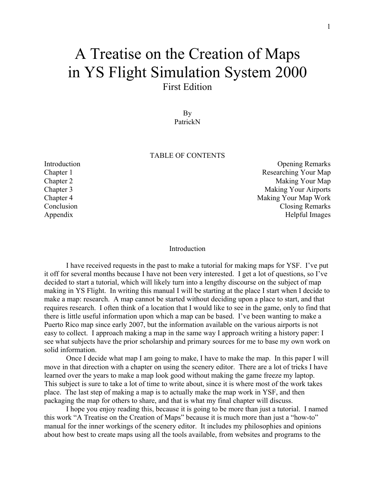# A Treatise on the Creation of Maps in YS Flight Simulation System 2000 First Edition

## By PatrickN

#### TABLE OF CONTENTS

Introduction Chapter 1 Chapter 2 Chapter 3 Chapter 4 **Conclusion** Appendix

Opening Remarks Researching Your Map Making Your Map Making Your Airports Making Your Map Work Closing Remarks Helpful Images

#### Introduction

I have received requests in the past to make a tutorial for making maps for YSF. I've put it off for several months because I have not been very interested. I get a lot of questions, so I've decided to start a tutorial, which will likely turn into a lengthy discourse on the subject of map making in YS Flight. In writing this manual I will be starting at the place I start when I decide to make a map: research. A map cannot be started without deciding upon a place to start, and that requires research. I often think of a location that I would like to see in the game, only to find that there is little useful information upon which a map can be based. I've been wanting to make a Puerto Rico map since early 2007, but the information available on the various airports is not easy to collect. I approach making a map in the same way I approach writing a history paper: I see what subjects have the prior scholarship and primary sources for me to base my own work on solid information.

Once I decide what map I am going to make, I have to make the map. In this paper I will move in that direction with a chapter on using the scenery editor. There are a lot of tricks I have learned over the years to make a map look good without making the game freeze my laptop. This subject is sure to take a lot of time to write about, since it is where most of the work takes place. The last step of making a map is to actually make the map work in YSF, and then packaging the map for others to share, and that is what my final chapter will discuss.

I hope you enjoy reading this, because it is going to be more than just a tutorial. I named this work "A Treatise on the Creation of Maps" because it is much more than just a "how-to" manual for the inner workings of the scenery editor. It includes my philosophies and opinions about how best to create maps using all the tools available, from websites and programs to the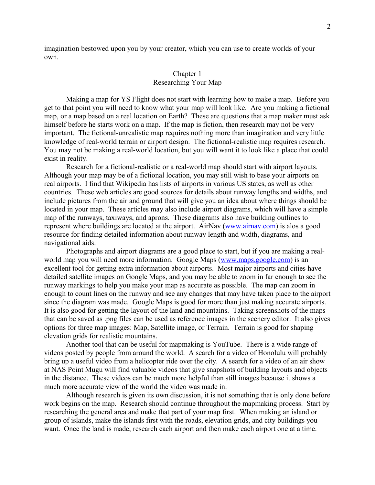imagination bestowed upon you by your creator, which you can use to create worlds of your own.

## Chapter 1 Researching Your Map

Making a map for YS Flight does not start with learning how to make a map. Before you get to that point you will need to know what your map will look like. Are you making a fictional map, or a map based on a real location on Earth? These are questions that a map maker must ask himself before he starts work on a map. If the map is fiction, then research may not be very important. The fictional-unrealistic map requires nothing more than imagination and very little knowledge of real-world terrain or airport design. The fictional-realistic map requires research. You may not be making a real-world location, but you will want it to look like a place that could exist in reality.

Research for a fictional-realistic or a real-world map should start with airport layouts. Although your map may be of a fictional location, you may still wish to base your airports on real airports. I find that Wikipedia has lists of airports in various US states, as well as other countries. These web articles are good sources for details about runway lengths and widths, and include pictures from the air and ground that will give you an idea about where things should be located in your map. These articles may also include airport diagrams, which will have a simple map of the runways, taxiways, and aprons. These diagrams also have building outlines to represent where buildings are located at the airport. AirNav [\(www.airnav.com\)](http://www.airnav.com/) is alos a good resource for finding detailed information about runway length and width, diagrams, and navigational aids.

Photographs and airport diagrams are a good place to start, but if you are making a real-world map you will need more information. Google Maps [\(www.maps.google.com\)](http://www.maps.google.com/) is an excellent tool for getting extra information about airports. Most major airports and cities have detailed satellite images on Google Maps, and you may be able to zoom in far enough to see the runway markings to help you make your map as accurate as possible. The map can zoom in enough to count lines on the runway and see any changes that may have taken place to the airport since the diagram was made. Google Maps is good for more than just making accurate airports. It is also good for getting the layout of the land and mountains. Taking screenshots of the maps that can be saved as .png files can be used as reference images in the scenery editor. It also gives options for three map images: Map, Satellite image, or Terrain. Terrain is good for shaping elevation grids for realistic mountains.

Another tool that can be useful for mapmaking is YouTube. There is a wide range of videos posted by people from around the world. A search for a video of Honolulu will probably bring up a useful video from a helicopter ride over the city. A search for a video of an air show at NAS Point Mugu will find valuable videos that give snapshots of building layouts and objects in the distance. These videos can be much more helpful than still images because it shows a much more accurate view of the world the video was made in.

Although research is given its own discussion, it is not something that is only done before work begins on the map. Research should continue throughout the mapmaking process. Start by researching the general area and make that part of your map first. When making an island or group of islands, make the islands first with the roads, elevation grids, and city buildings you want. Once the land is made, research each airport and then make each airport one at a time.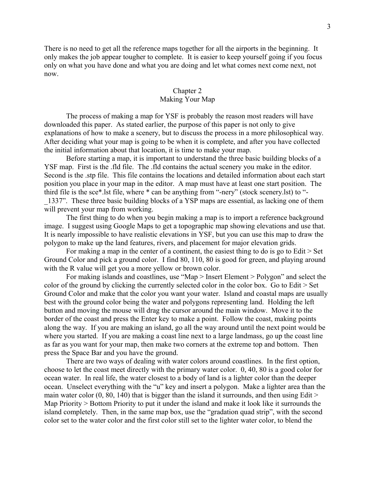There is no need to get all the reference maps together for all the airports in the beginning. It only makes the job appear tougher to complete. It is easier to keep yourself going if you focus only on what you have done and what you are doing and let what comes next come next, not now.

## Chapter 2 Making Your Map

The process of making a map for YSF is probably the reason most readers will have downloaded this paper. As stated earlier, the purpose of this paper is not only to give explanations of how to make a scenery, but to discuss the process in a more philosophical way. After deciding what your map is going to be when it is complete, and after you have collected the initial information about that location, it is time to make your map.

Before starting a map, it is important to understand the three basic building blocks of a YSF map. First is the .fld file. The .fld contains the actual scenery you make in the editor. Second is the .stp file. This file contains the locations and detailed information about each start position you place in your map in the editor. A map must have at least one start position. The third file is the sce\*.lst file, where \* can be anything from "-nery" (stock scenery.lst) to "- \_1337". These three basic building blocks of a YSP maps are essential, as lacking one of them will prevent your map from working.

The first thing to do when you begin making a map is to import a reference background image. I suggest using Google Maps to get a topographic map showing elevations and use that. It is nearly impossible to have realistic elevations in YSF, but you can use this map to draw the polygon to make up the land features, rivers, and placement for major elevation grids.

For making a map in the center of a continent, the easiest thing to do is go to Edit > Set Ground Color and pick a ground color. I find 80, 110, 80 is good for green, and playing around with the R value will get you a more yellow or brown color.

For making islands and coastlines, use "Map > Insert Element > Polygon" and select the color of the ground by clicking the currently selected color in the color box. Go to Edit > Set Ground Color and make that the color you want your water. Island and coastal maps are usually best with the ground color being the water and polygons representing land. Holding the left button and moving the mouse will drag the cursor around the main window. Move it to the border of the coast and press the Enter key to make a point. Follow the coast, making points along the way. If you are making an island, go all the way around until the next point would be where you started. If you are making a coast line next to a large landmass, go up the coast line as far as you want for your map, then make two corners at the extreme top and bottom. Then press the Space Bar and you have the ground.

There are two ways of dealing with water colors around coastlines. In the first option, choose to let the coast meet directly with the primary water color. 0, 40, 80 is a good color for ocean water. In real life, the water closest to a body of land is a lighter color than the deeper ocean. Unselect everything with the "u" key and insert a polygon. Make a lighter area than the main water color  $(0, 80, 140)$  that is bigger than the island it surrounds, and then using Edit > Map Priority > Bottom Priority to put it under the island and make it look like it surrounds the island completely. Then, in the same map box, use the "gradation quad strip", with the second color set to the water color and the first color still set to the lighter water color, to blend the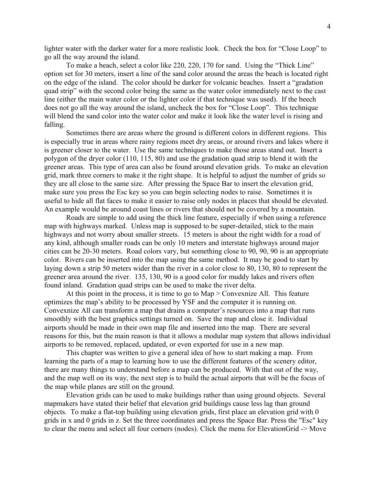lighter water with the darker water for a more realistic look. Check the box for "Close Loop" to go all the way around the island.

To make a beach, select a color like 220, 220, 170 for sand. Using the "Thick Line" option set for 30 meters, insert a line of the sand color around the areas the beach is located right on the edge of the island. The color should be darker for volcanic beaches. Insert a "gradation quad strip" with the second color being the same as the water color immediately next to the cast line (either the main water color or the lighter color if that technique was used). If the beech does not go all the way around the island, uncheck the box for "Close Loop". This technique will blend the sand color into the water color and make it look like the water level is rising and falling.

Sometimes there are areas where the ground is different colors in different regions. This is especially true in areas where rainy regions meet dry areas, or around rivers and lakes where it is greener closer to the water. Use the same techniques to make those areas stand out. Insert a polygon of the dryer color (110, 115, 80) and use the gradation quad strip to blend it with the greener areas. This type of area can also be found around elevation grids. To make an elevation grid, mark three corners to make it the right shape. It is helpful to adjust the number of grids so they are all close to the same size. After pressing the Space Bar to insert the elevation grid, make sure you press the Esc key so you can begin selecting nodes to raise. Sometimes it is useful to hide all flat faces to make it easier to raise only nodes in places that should be elevated. An example would be around coast lines or rivers that should not be covered by a mountain.

Roads are simple to add using the thick line feature, especially if when using a reference map with highways marked. Unless map is supposed to be super-detailed, stick to the main highways and not worry about smaller streets. 15 meters is about the right width for a road of any kind, although smaller roads can be only 10 meters and interstate highways around major cities can be 20-30 meters. Road colors vary, but something close to 90, 90, 90 is an appropriate color. Rivers can be inserted into the map using the same method. It may be good to start by laying down a strip 50 meters wider than the river in a color close to 80, 130, 80 to represent the greener area around the river. 135, 130, 90 is a good color for muddy lakes and rivers often found inland. Gradation quad strips can be used to make the river delta.

At this point in the process, it is time to go to Map > Convexnize All. This feature optimizes the map's ability to be processed by YSF and the computer it is running on. Convexnize All can transform a map that drains a computer's resources into a map that runs smoothly with the best graphics settings turned on. Save the map and close it. Individual airports should be made in their own map file and inserted into the map. There are several reasons for this, but the main reason is that it allows a modular map system that allows individual airports to be removed, replaced, updated, or even exported for use in a new map.

This chapter was written to give a general idea of how to start making a map. From learning the parts of a map to learning how to use the different features of the scenery editor, there are many things to understand before a map can be produced. With that out of the way, and the map well on its way, the next step is to build the actual airports that will be the focus of the map while planes are still on the ground.

Elevation grids can be used to make buildings rather than using ground objects. Several mapmakers have stated their belief that elevation grid buildings cause less lag than ground objects. To make a flat-top building using elevation grids, first place an elevation grid with 0 grids in x and 0 grids in z. Set the three coordinates and press the Space Bar. Press the "Esc" key to clear the menu and select all four corners (nodes). Click the menu for ElevationGrid -> Move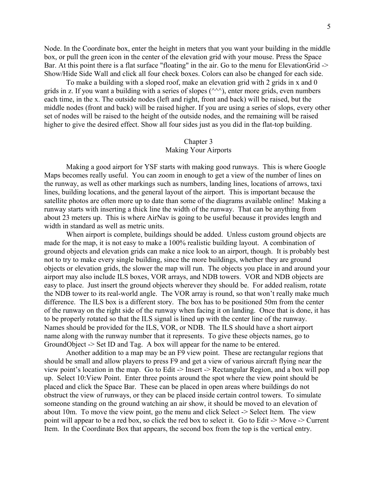Node. In the Coordinate box, enter the height in meters that you want your building in the middle box, or pull the green icon in the center of the elevation grid with your mouse. Press the Space Bar. At this point there is a flat surface "floating" in the air. Go to the menu for ElevationGrid -> Show/Hide Side Wall and click all four check boxes. Colors can also be changed for each side.

To make a building with a sloped roof, make an elevation grid with 2 grids in x and 0 grids in z. If you want a building with a series of slopes  $(^{\wedge\wedge\wedge})$ , enter more grids, even numbers each time, in the x. The outside nodes (left and right, front and back) will be raised, but the middle nodes (front and back) will be raised higher. If you are using a series of slops, every other set of nodes will be raised to the height of the outside nodes, and the remaining will be raised higher to give the desired effect. Show all four sides just as you did in the flat-top building.

### Chapter 3 Making Your Airports

Making a good airport for YSF starts with making good runways. This is where Google Maps becomes really useful. You can zoom in enough to get a view of the number of lines on the runway, as well as other markings such as numbers, landing lines, locations of arrows, taxi lines, building locations, and the general layout of the airport. This is important because the satellite photos are often more up to date than some of the diagrams available online! Making a runway starts with inserting a thick line the width of the runway. That can be anything from about 23 meters up. This is where AirNav is going to be useful because it provides length and width in standard as well as metric units.

When airport is complete, buildings should be added. Unless custom ground objects are made for the map, it is not easy to make a 100% realistic building layout. A combination of ground objects and elevation grids can make a nice look to an airport, though. It is probably best not to try to make every single building, since the more buildings, whether they are ground objects or elevation grids, the slower the map will run. The objects you place in and around your airport may also include ILS boxes, VOR arrays, and NDB towers. VOR and NDB objects are easy to place. Just insert the ground objects wherever they should be. For added realism, rotate the NDB tower to its real-world angle. The VOR array is round, so that won't really make much difference. The ILS box is a different story. The box has to be positioned 50m from the center of the runway on the right side of the runway when facing it on landing. Once that is done, it has to be properly rotated so that the ILS signal is lined up with the center line of the runway. Names should be provided for the ILS, VOR, or NDB. The ILS should have a short airport name along with the runway number that it represents. To give these objects names, go to GroundObject -> Set ID and Tag. A box will appear for the name to be entered.

Another addition to a map may be an F9 view point. These are rectangular regions that should be small and allow players to press F9 and get a view of various aircraft flying near the view point's location in the map. Go to Edit -> Insert -> Rectangular Region, and a box will pop up. Select 10:View Point. Enter three points around the spot where the view point should be placed and click the Space Bar. These can be placed in open areas where buildings do not obstruct the view of runways, or they can be placed inside certain control towers. To simulate someone standing on the ground watching an air show, it should be moved to an elevation of about 10m. To move the view point, go the menu and click Select -> Select Item. The view point will appear to be a red box, so click the red box to select it. Go to Edit -> Move -> Current Item. In the Coordinate Box that appears, the second box from the top is the vertical entry.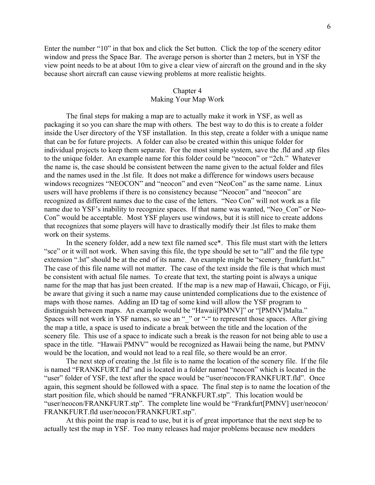Enter the number "10" in that box and click the Set button. Click the top of the scenery editor window and press the Space Bar. The average person is shorter than 2 meters, but in YSF the view point needs to be at about 10m to give a clear view of aircraft on the ground and in the sky because short aircraft can cause viewing problems at more realistic heights.

## Chapter 4 Making Your Map Work

The final steps for making a map are to actually make it work in YSF, as well as packaging it so you can share the map with others. The best way to do this is to create a folder inside the User directory of the YSF installation. In this step, create a folder with a unique name that can be for future projects. A folder can also be created within this unique folder for individual projects to keep them separate. For the most simple system, save the .fld and .stp files to the unique folder. An example name for this folder could be "neocon" or "2ch." Whatever the name is, the case should be consistent between the name given to the actual folder and files and the names used in the .lst file. It does not make a difference for windows users because windows recognizes "NEOCON" and "neocon" and even "NeoCon" as the same name. Linux users will have problems if there is no consistency because "Neocon" and "neocon" are recognized as different names due to the case of the letters. "Neo Con" will not work as a file name due to YSF's inability to recognize spaces. If that name was wanted, "Neo-Con" or Neo-Con" would be acceptable. Most YSF players use windows, but it is still nice to create addons that recognizes that some players will have to drastically modify their .lst files to make them work on their systems.

In the scenery folder, add a new text file named sce\*. This file must start with the letters "sce" or it will not work. When saving this file, the type should be set to "all" and the file type extension ".lst" should be at the end of its name. An example might be "scenery frankfurt.lst." The case of this file name will not matter. The case of the text inside the file is that which must be consistent with actual file names. To create that text, the starting point is always a unique name for the map that has just been created. If the map is a new map of Hawaii, Chicago, or Fiji, be aware that giving it such a name may cause unintended complications due to the existence of maps with those names. Adding an ID tag of some kind will allow the YSF program to distinguish between maps. An example would be "Hawaii[PMNV]" or "[PMNV]Malta." Spaces will not work in YSF names, so use an " " or "-" to represent those spaces. After giving the map a title, a space is used to indicate a break between the title and the location of the scenery file. This use of a space to indicate such a break is the reason for not being able to use a space in the title. "Hawaii PMNV" would be recognized as Hawaii being the name, but PMNV would be the location, and would not lead to a real file, so there would be an error.

The next step of creating the .lst file is to name the location of the scenery file. If the file is named "FRANKFURT.fld" and is located in a folder named "neocon" which is located in the "user" folder of YSF, the text after the space would be "user/neocon/FRANKFURT.fld". Once again, this segment should be followed with a space. The final step is to name the location of the start position file, which should be named "FRANKFURT.stp". This location would be "user/neocon/FRANKFURT.stp". The complete line would be "Frankfurt[PMNV] user/neocon/ FRANKFURT.fld user/neocon/FRANKFURT.stp".

At this point the map is read to use, but it is of great importance that the next step be to actually test the map in YSF. Too many releases had major problems because new modders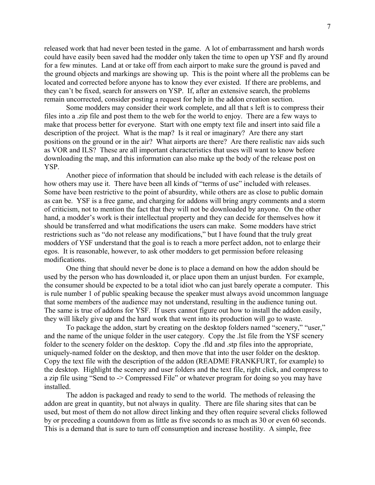released work that had never been tested in the game. A lot of embarrassment and harsh words could have easily been saved had the modder only taken the time to open up YSF and fly around for a few minutes. Land at or take off from each airport to make sure the ground is paved and the ground objects and markings are showing up. This is the point where all the problems can be located and corrected before anyone has to know they ever existed. If there are problems, and they can't be fixed, search for answers on YSP. If, after an extensive search, the problems remain uncorrected, consider posting a request for help in the addon creation section.

Some modders may consider their work complete, and all that s left is to compress their files into a .zip file and post them to the web for the world to enjoy. There are a few ways to make that process better for everyone. Start with one empty text file and insert into said file a description of the project. What is the map? Is it real or imaginary? Are there any start positions on the ground or in the air? What airports are there? Are there realistic nav aids such as VOR and ILS? These are all important characteristics that uses will want to know before downloading the map, and this information can also make up the body of the release post on YSP.

Another piece of information that should be included with each release is the details of how others may use it. There have been all kinds of "terms of use" included with releases. Some have been restrictive to the point of absurdity, while others are as close to public domain as can be. YSF is a free game, and charging for addons will bring angry comments and a storm of criticism, not to mention the fact that they will not be downloaded by anyone. On the other hand, a modder's work is their intellectual property and they can decide for themselves how it should be transferred and what modifications the users can make. Some modders have strict restrictions such as "do not release any modifications," but I have found that the truly great modders of YSF understand that the goal is to reach a more perfect addon, not to enlarge their egos. It is reasonable, however, to ask other modders to get permission before releasing modifications.

One thing that should never be done is to place a demand on how the addon should be used by the person who has downloaded it, or place upon them an unjust burden. For example, the consumer should be expected to be a total idiot who can just barely operate a computer. This is rule number 1 of public speaking because the speaker must always avoid uncommon language that some members of the audience may not understand, resulting in the audience tuning out. The same is true of addons for YSF. If users cannot figure out how to install the addon easily, they will likely give up and the hard work that went into its production will go to waste.

To package the addon, start by creating on the desktop folders named "scenery," "user," and the name of the unique folder in the user category. Copy the .lst file from the YSF scenery folder to the scenery folder on the desktop. Copy the .fld and .stp files into the appropriate, uniquely-named folder on the desktop, and then move that into the user folder on the desktop. Copy the text file with the description of the addon (README FRANKFURT, for example) to the desktop. Highlight the scenery and user folders and the text file, right click, and compress to a zip file using "Send to -> Compressed File" or whatever program for doing so you may have installed.

The addon is packaged and ready to send to the world. The methods of releasing the addon are great in quantity, but not always in quality. There are file sharing sites that can be used, but most of them do not allow direct linking and they often require several clicks followed by or preceding a countdown from as little as five seconds to as much as 30 or even 60 seconds. This is a demand that is sure to turn off consumption and increase hostility. A simple, free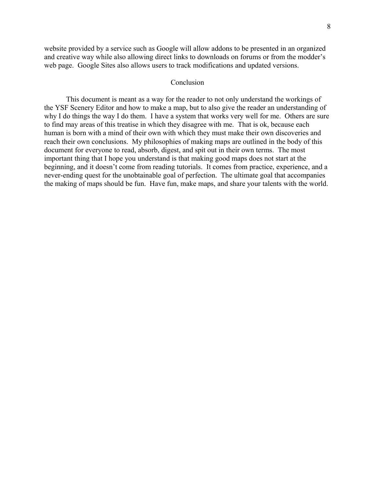website provided by a service such as Google will allow addons to be presented in an organized and creative way while also allowing direct links to downloads on forums or from the modder's web page. Google Sites also allows users to track modifications and updated versions.

#### Conclusion

This document is meant as a way for the reader to not only understand the workings of the YSF Scenery Editor and how to make a map, but to also give the reader an understanding of why I do things the way I do them. I have a system that works very well for me. Others are sure to find may areas of this treatise in which they disagree with me. That is ok, because each human is born with a mind of their own with which they must make their own discoveries and reach their own conclusions. My philosophies of making maps are outlined in the body of this document for everyone to read, absorb, digest, and spit out in their own terms. The most important thing that I hope you understand is that making good maps does not start at the beginning, and it doesn't come from reading tutorials. It comes from practice, experience, and a never-ending quest for the unobtainable goal of perfection. The ultimate goal that accompanies the making of maps should be fun. Have fun, make maps, and share your talents with the world.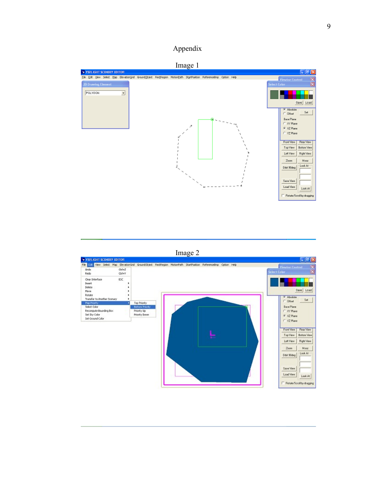# Appendix







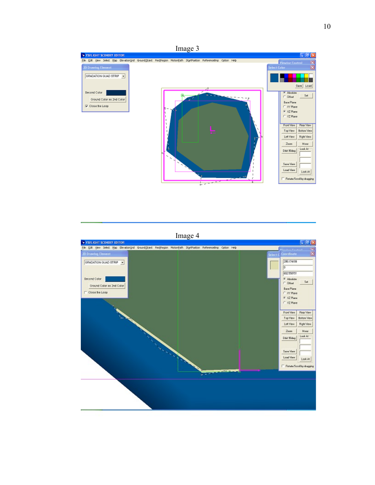Image 3



Image 4

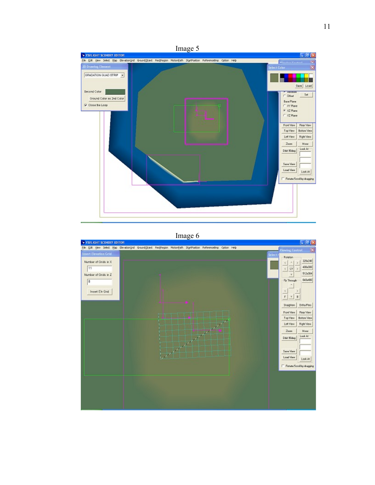

## Image 6

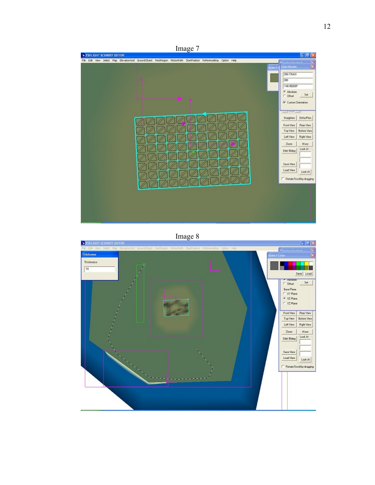

Image 8